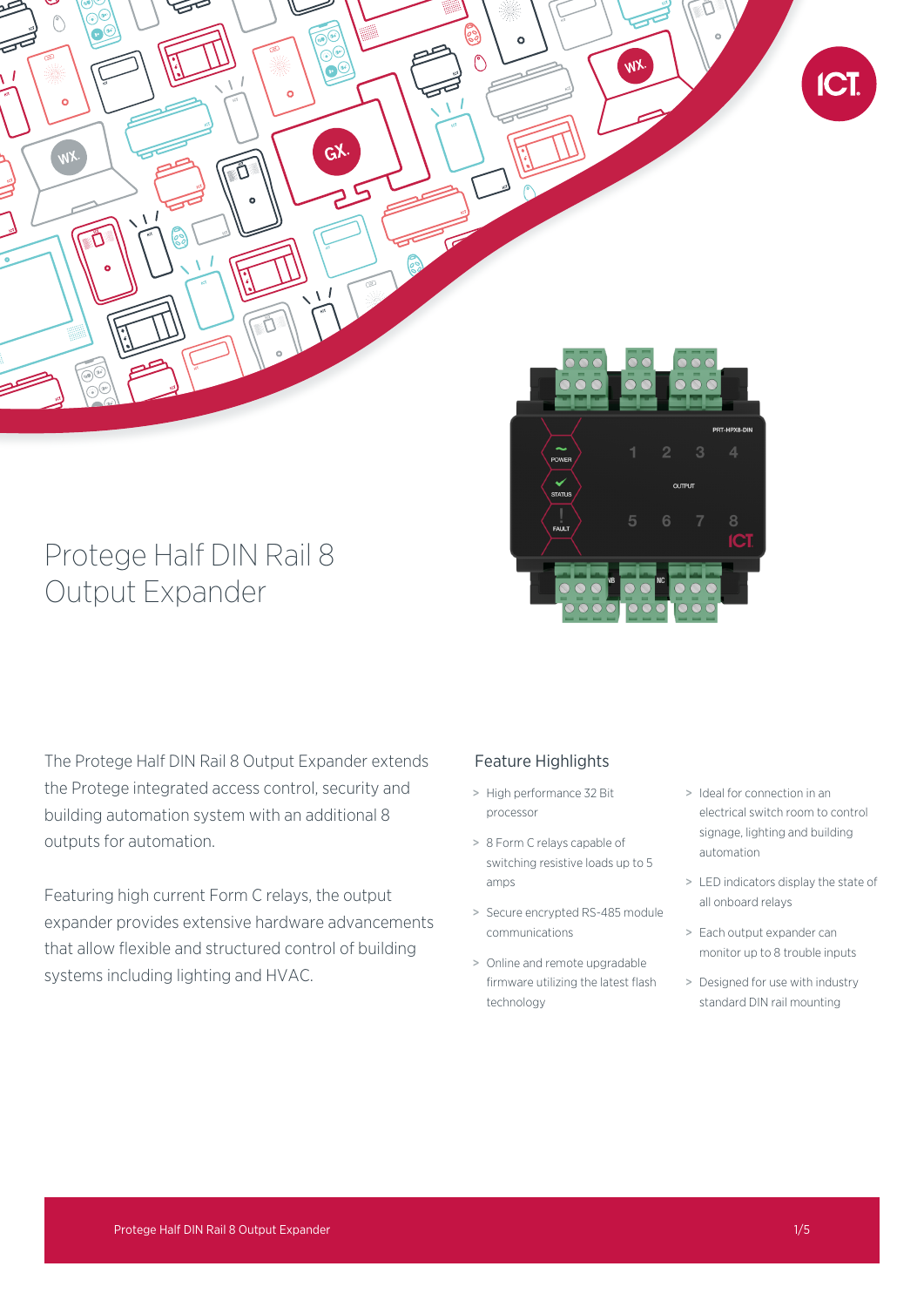

# Protege Half DIN Rail 8 Output Expander

The Protege Half DIN Rail 8 Output Expander extends the Protege integrated access control, security and building automation system with an additional 8 outputs for automation.

Featuring high current Form C relays, the output expander provides extensive hardware advancements that allow flexible and structured control of building systems including lighting and HVAC.

# Feature Highlights

- > High performance 32 Bit processor
- > 8 Form C relays capable of switching resistive loads up to 5 amps
- > Secure encrypted RS-485 module communications
- > Online and remote upgradable firmware utilizing the latest flash technology
- > Ideal for connection in an electrical switch room to control signage, lighting and building automation
- > LED indicators display the state of all onboard relays
- > Each output expander can monitor up to 8 trouble inputs
- > Designed for use with industry standard DIN rail mounting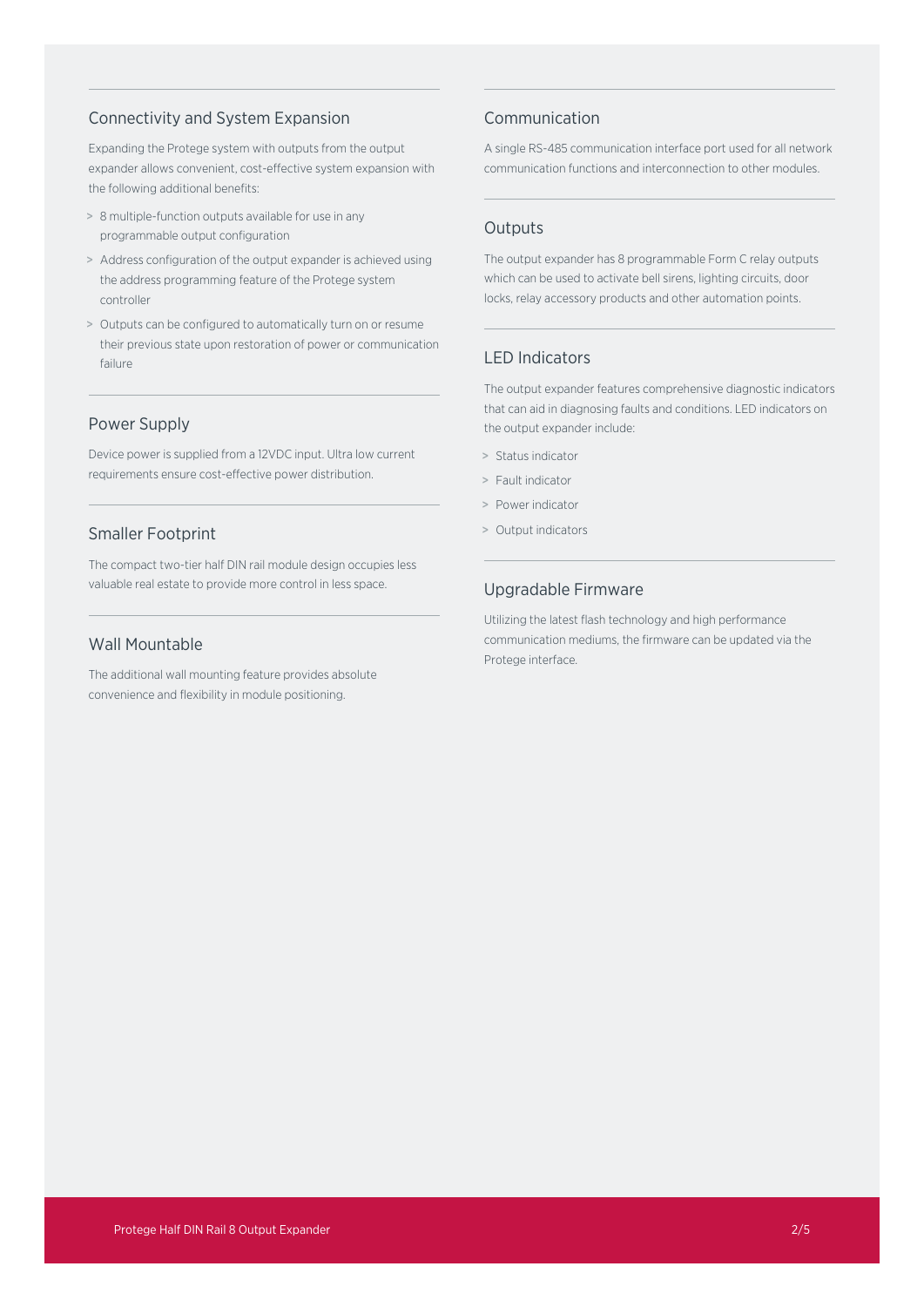## Connectivity and System Expansion

Expanding the Protege system with outputs from the output expander allows convenient, cost-effective system expansion with the following additional benefits:

- > 8 multiple-function outputs available for use in any programmable output configuration
- > Address configuration of the output expander is achieved using the address programming feature of the Protege system controller
- > Outputs can be configured to automatically turn on or resume their previous state upon restoration of power or communication failure

## Power Supply

Device power is supplied from a 12VDC input. Ultra low current requirements ensure cost-effective power distribution.

## Smaller Footprint

The compact two-tier half DIN rail module design occupies less valuable real estate to provide more control in less space.

# Wall Mountable

The additional wall mounting feature provides absolute convenience and flexibility in module positioning.

## Communication

A single RS-485 communication interface port used for all network communication functions and interconnection to other modules.

## **Outputs**

The output expander has 8 programmable Form C relay outputs which can be used to activate bell sirens, lighting circuits, door locks, relay accessory products and other automation points.

## LED Indicators

The output expander features comprehensive diagnostic indicators that can aid in diagnosing faults and conditions. LED indicators on the output expander include:

- > Status indicator
- > Fault indicator
- > Power indicator
- > Output indicators

## Upgradable Firmware

Utilizing the latest flash technology and high performance communication mediums, the firmware can be updated via the Protege interface.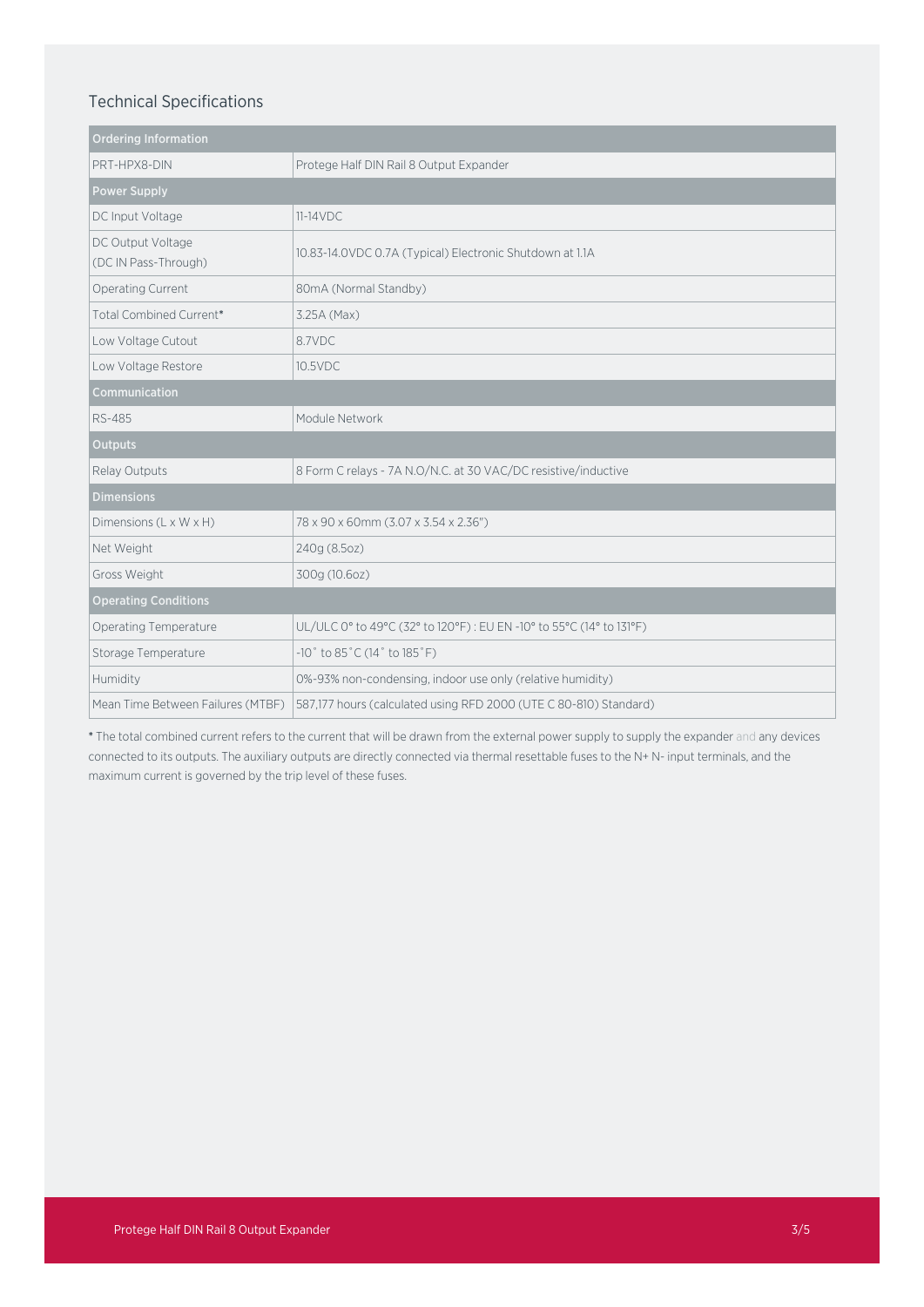## Technical Specifications

| <b>Ordering Information</b>               |                                                                     |
|-------------------------------------------|---------------------------------------------------------------------|
| PRT-HPX8-DIN                              | Protege Half DIN Rail 8 Output Expander                             |
| <b>Power Supply</b>                       |                                                                     |
| DC Input Voltage                          | $11-14VDC$                                                          |
| DC Output Voltage<br>(DC IN Pass-Through) | 10.83-14.0VDC 0.7A (Typical) Electronic Shutdown at 1.1A            |
| Operating Current                         | 80mA (Normal Standby)                                               |
| Total Combined Current*                   | 3.25A (Max)                                                         |
| Low Voltage Cutout                        | 8.7VDC                                                              |
| Low Voltage Restore                       | 10.5VDC                                                             |
| Communication                             |                                                                     |
| <b>RS-485</b>                             | Module Network                                                      |
| <b>Outputs</b>                            |                                                                     |
| Relay Outputs                             | 8 Form C relays - 7A N.O/N.C. at 30 VAC/DC resistive/inductive      |
| <b>Dimensions</b>                         |                                                                     |
| Dimensions (L x W x H)                    | 78 x 90 x 60mm (3.07 x 3.54 x 2.36")                                |
| Net Weight                                | 240g (8.5oz)                                                        |
| Gross Weight                              | 300g (10.6oz)                                                       |
| <b>Operating Conditions</b>               |                                                                     |
| Operating Temperature                     | UL/ULC 0° to 49°C (32° to 120°F): EU EN -10° to 55°C (14° to 131°F) |
| Storage Temperature                       | $-10$ ° to 85°C (14° to 185°F)                                      |
| Humidity                                  | 0%-93% non-condensing, indoor use only (relative humidity)          |
| Mean Time Between Failures (MTBF)         | 587,177 hours (calculated using RFD 2000 (UTE C 80-810) Standard)   |

\* The total combined current refers to the current that will be drawn from the external power supply to supply the expander and any devices connected to its outputs. The auxiliary outputs are directly connected via thermal resettable fuses to the N+ N- input terminals, and the maximum current is governed by the trip level of these fuses.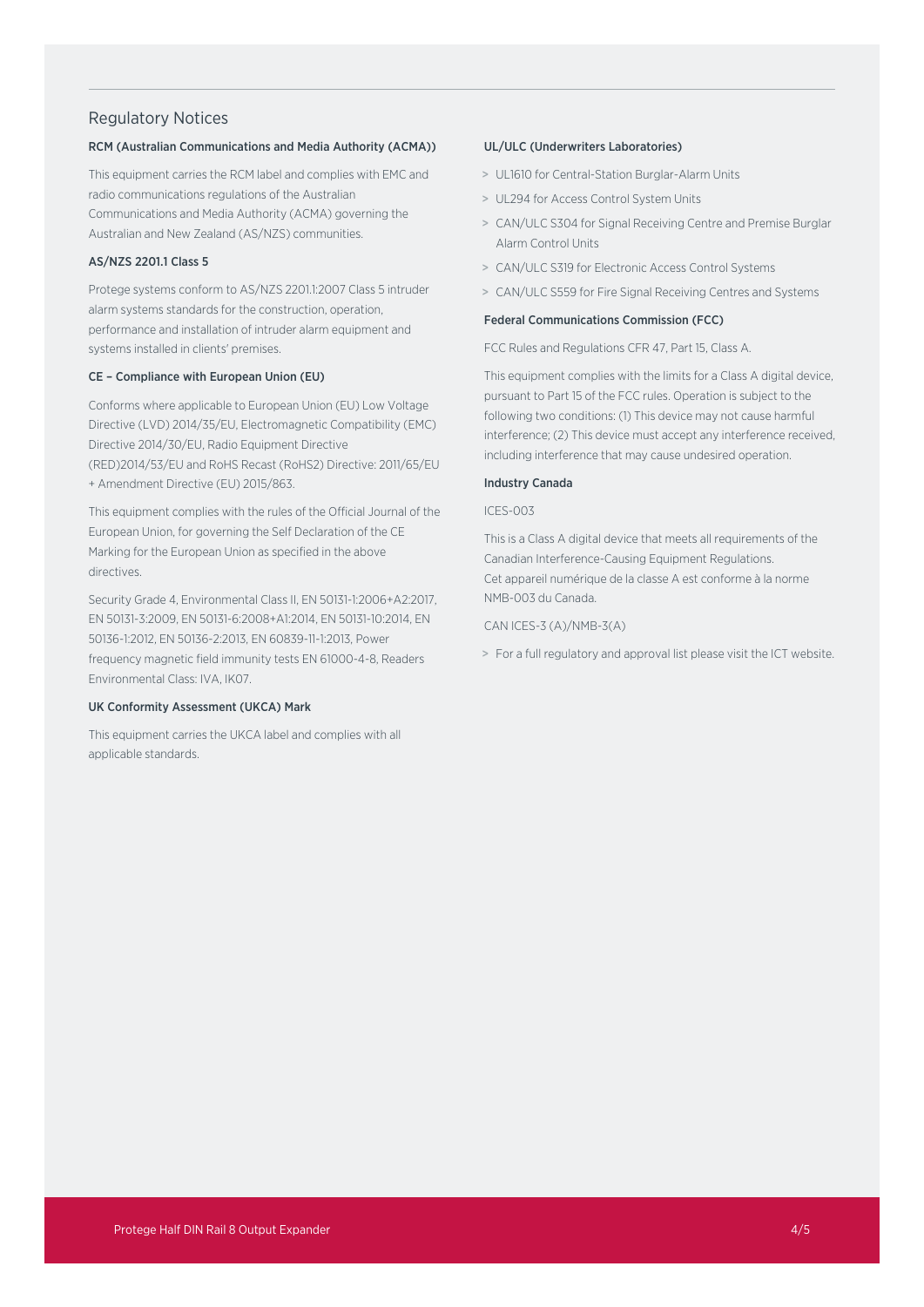#### Regulatory Notices

#### RCM (Australian Communications and Media Authority (ACMA))

This equipment carries the RCM label and complies with EMC and radio communications regulations of the Australian Communications and Media Authority (ACMA) governing the Australian and New Zealand (AS/NZS) communities.

#### AS/NZS 2201.1 Class 5

Protege systems conform to AS/NZS 2201.1:2007 Class 5 intruder alarm systems standards for the construction, operation, performance and installation of intruder alarm equipment and systems installed in clients' premises.

#### CE – Compliance with European Union (EU)

Conforms where applicable to European Union (EU) Low Voltage Directive (LVD) 2014/35/EU, Electromagnetic Compatibility (EMC) Directive 2014/30/EU, Radio Equipment Directive (RED)2014/53/EU and RoHS Recast (RoHS2) Directive: 2011/65/EU + Amendment Directive (EU) 2015/863.

This equipment complies with the rules of the Official Journal of the European Union, for governing the Self Declaration of the CE Marking for the European Union as specified in the above directives.

Security Grade 4, Environmental Class II, EN 50131-1:2006+A2:2017, EN 50131-3:2009, EN 50131-6:2008+A1:2014, EN 50131-10:2014, EN 50136-1:2012, EN 50136-2:2013, EN 60839-11-1:2013, Power frequency magnetic field immunity tests EN 61000-4-8, Readers Environmental Class: IVA, IK07.

#### UK Conformity Assessment (UKCA) Mark

This equipment carries the UKCA label and complies with all applicable standards.

#### UL/ULC (Underwriters Laboratories)

- > UL1610 for Central-Station Burglar-Alarm Units
- > UL294 for Access Control System Units
- > CAN/ULC S304 for Signal Receiving Centre and Premise Burglar Alarm Control Units
- > CAN/ULC S319 for Electronic Access Control Systems
- > CAN/ULC S559 for Fire Signal Receiving Centres and Systems

#### Federal Communications Commission (FCC)

FCC Rules and Regulations CFR 47, Part 15, Class A.

This equipment complies with the limits for a Class A digital device, pursuant to Part 15 of the FCC rules. Operation is subject to the following two conditions: (1) This device may not cause harmful interference; (2) This device must accept any interference received, including interference that may cause undesired operation.

#### Industry Canada

#### ICES-003

This is a Class A digital device that meets all requirements of the Canadian Interference-Causing Equipment Regulations. Cet appareil numérique de la classe A est conforme à la norme NMB-003 du Canada.

CAN ICES-3 (A)/NMB-3(A)

> For a full regulatory and approval list please visit the ICT website.